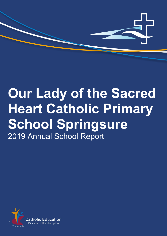

# **Our Lady of the Sacred Heart Catholic Primary School Springsure** 2019 Annual School Report

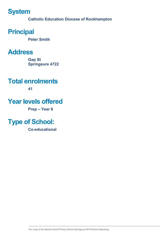# **System**

**Catholic Education Diocese of Rockhampton**

# **Principal**

**Peter Smith**

# **Address**

**Gap St Springsure 4722**

# **Total enrolments**

**41**

# **Year levels offered**

**Prep – Year 6** 

# **Type of School:**

**Co-educational**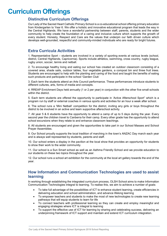# **Curriculum Offerings**

### **Distinctive Curriculum Offerings**

Our Lady of the Sacred Heart Catholic Primary School is a co-educational school offering primary education from Kindergarten to Year 6. We offer a holistic and innovative educational program that leads the way in the Central Highlands. We have a wonderful partnership between staff, parents, students and the wider community to help create the foundation of a caring and inclusive culture which supports the growth of every student. Honesty, Respect and Care are the values that underpin our faith driven culture which develops well-grounded, respectful and community-minded individuals who are ready for bright futures.

### **Extra Curricula Activities**

1. Representative Sport – students are involved in a variety of sporting events at various levels (school, district, Central Highlands, Capricornia). Sports include athletics, swimming, cross country, rugby league, rugby union, soccer, tennis and netball.

2. To encourage healthy living and eating our school has created an outdoor classroom consisting of a covered area, shade sails, outdoor tables, four vegetable gardens, a compost bin and three fruit trees. Students are encouraged to help with the planting and caring of the food and taught the benefits of eating such products and participate in the school 'Garden Club'

3. Each term the students attend an Arts Council performance. These performances introduce students to different cultures, arts, forms of media and concepts.

4. RREAP Enrichment Days held annually (1 or 2 per year) in conjunction with the other five small schools within the district.

5. Each term students are offered the opportunity to participate in 'Active Afterschool Sport" which is a program run by staff or external coaches in various sports and activities for an hour a week after school.

6. The school runs a 'Mini Netball' competition for the district, inviting any girls or boys throughout the district to be involved in an active and team supportive afterschool activity.

7. All year 5 & 6 students have the opportunity to attend a camp of up to 5 days during the year. Every second year the children travel to Canberra for their camp. Every other grade has the opportunity to attend school excursions when they relate to and enhance classroom teachings.

8. All students are encouraged and given the opportunities to take part in our School Masses and School Prayer Assemblies.

9. Our School proudly supports the local tradition of marching in the town's ANZAC Day march each year and is always well represented by students, parents and staff.

10. Our school enters a display in the pavilion at the local show that provides an opportunity for students to show their work to the wider community.

11. Our school is a Sun Smart school as well as an Asthma Friendly School and we provide education to our students on these two topics throughout the year.

12. Our school runs a school art exhibition for the community at the local art gallery towards the end of the year.

### **How Information and Communication Technologies are used to assist learning**

In working through establishing the integrated curriculum process, OLSH School aims to make Information Communication Technologies integral to learning. To realise this, we aim to achieve a number of goals:

- To take full advantage of the possibilities of ICT to enhance student learning, create efficiencies in delivering education and school administration, and advance lifelong learning
- To empower teachers and students to make the most of new technologies to create new learning pathways that will equip students to learn for life
- To connect teachers with professional learning so they can create and employ meaningful and engaging strategies where ICT is integral to learning
- To support the effective use of ICT for learning by sharing and celebrating success, delivering an underpinning framework of ICT support and maintain and extend ICT curriculum integration.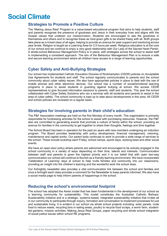# **Social Climate**

### **Strategies to Promote a Positive Culture**

The 'Making Jesus Real' Program is a value-based educational program that aims to help students, staff and parents recognise the presence of goodness and Jesus in their everyday lives and aligns with the Gospel values that underpin our mission/vision. Students are encouraged to see the goodness in themselves and others and to recognise these as God-given gifts to be shared freely with all. MJR groups take place as a mixed class of all ages, helping to provide an avenue for peer support and mentoring across year levels. Religion is taught as a Learning Area for 2.5 hours per week. Religious education is at the core of our school and we continue to enjoy a very good relationship with Our Lady of the Sacred Heart Parish. A whole-school Behaviour Management Policy is in place, with strategies across the school to assist staff in implementing a consistent approach. The aim of the Behaviour Management Plan is to ensure a safe and secure learning environment where all children have access to a range of learning opportunities.

### **Cyber Safety and Anti-Bullying Strategies**

Our school has implemented Catholic Education Diocese of Rockhampton (CEDR) policies on Acceptable Use Agreements for students and staff. The school regularly communicates to parents and the school community about cyber safety issues. We also have appropriate policies in place to deal with the use of mobile phones and other electronic devices. Our school has a number of social/emotional learning programs in place to assist students in guarding against bullying at school. We access CEDR representatives to give focused information sessions to parents, staff and students. This year the school collaborated with Cyber Safety Solutions who ran a seminar with all students and parents to assist in the area of cyber safety. The school community is kept up to date about developments in this area. All CEDR and school policies are reviewed on a regular basis.

### **Strategies for involving parents in their child's education**

The P&F Association meetings are held on the first Monday of every month. This organisation is primarily responsible for fundraising activities for the school to assist with purchasing resources. However, the P&F also are committed to generating events that promote a culture of family within the school, providing an avenue for families in the community to get together to share their thoughts, feelings and time together.

The School Board has been in operation for the past six years with new members undergoing an induction program. The Board provides leadership with policy development, financial management, visioning, maintenance and capital works. Our parent body continues to work to provide a wide range of services to the school. These include tuckshop each Friday, school camps, sports days, working bees and other social events.

We have an open-door policy where parents are welcomed and encouraged to be actively engaged in the school community in a variety of ways depending on their time, talents and interests. Communication between staff and parents is given the highest priority and it is our belief that with open two-way communication our school will continue to flourish as a friendly learning environment. We have incorporated 'Celebration of Learning' days at school to help invite families and community into our classrooms, providing an insight into the children's learning and the wonderful work the school does.

Our fortnightly newsletter also provides a vital communication link between the school and families and once a fortnight each class provides a comment for the Newsletter to keep parents informed. We also have a social media page to help inform parents of happenings in the school.

### **Reducing the school's environmental footprint**

The school has adopted the Assisi model that has been fundamental in the development of our school as a learning community for sustainability. This model constitutes the Australian Catholic Bishops' Sustainability initiative and is a strategic, systems-based, integrated sustainability initiative that invites all in our community to participate through inquiry, formation and conversation to implement processes for just and sustainable living. It is evident in our school via whole school projects including: solar panels, nude food to reduce waste, recycling bins in eating areas, poultry to recycle food scraps, a worm farm, studentled gardens, mission activities, Making Jesus Real Groups, paper recycling and whole school integration of social justice issues within school RE programs.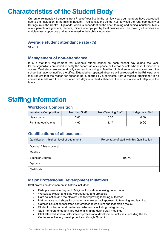# **Characteristics of the Student Body**

Current enrolment is 41 students from Prep to Year Six. In the last few years our numbers have decreased due to the fluctuation in the mining industry. Traditionally the school has serviced the rural community of Springsure in the Central Highlands, which is dependent on the beef, farming and mining industries. Many of our parents are graziers, farmers, miners or employed by local businesses. The majority of families are middle-class, supportive and very involved in their child's education.

#### **Average student attendance rate (%)**

94.46 %

#### **Management of non-attendance**

It is a statutory requirement that students attend school on each school day during the year. Parents/guardians are asked to notify the school via a telephone call, email or note whenever their child is absent. Text alerts are automatically sent each morning to families of children who are absent from the school but have not notified the office. Extended or repeated absence will be reported to the Principal who may require that the reason for absence be supported by a certificate from a medical practitioner. If no contact is made with the school after two days of a child's absence, the school office will telephone the home.

# **Staffing Information**

#### **Workforce Composition**

| <b>Workforce Composition</b> | Teaching Staff | Non-Teaching Staff | <b>Indigenous Staff</b> |
|------------------------------|----------------|--------------------|-------------------------|
| <b>Headcounts</b>            | 5.00           | 6.00               | 0.00                    |
| Full-time equivalents        | 4.60           | 3.17               | 0.00                    |

### **Qualifications of all teachers**

| Qualification - highest level of attainment | Percentage of staff with this Qualification |
|---------------------------------------------|---------------------------------------------|
| Doctoral / Post-doctoral                    |                                             |
| <b>Masters</b>                              |                                             |
| <b>Bachelor Degree</b>                      | 100 %                                       |
| Diploma                                     |                                             |
| Certificate                                 |                                             |

### **Major Professional Development Initiatives**

Staff profession development initiatives included:

- Bishop's Inservice Day and Religious Education focusing on formation
- Workplace Health and Safety procedures and protocols
- Data collection and the efficient use for improving learning outcomes
- Mathematics workshops focusing on a whole school approach to teaching and learning
- Catholic Education facilitated conferences (curriculum and leadership focus)
- Student Protection and Protective Behaviours including Safeguarding
- Staff members engage in professional sharing during staff meetings
- Staff attended several self-directed professional development activities, including the K-6 Conference, literacy development and Google Summit.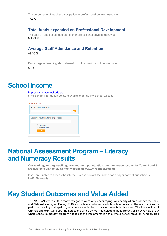The percentage of teacher participation in professional development was 100 %

### **Total funds expended on Professional Development**

The total of funds expended on teacher professional development was \$ 13,900

#### **Average Staff Attendance and Retention**

99.08 %

Percentage of teaching staff retained from the previous school year was

56 %

### **School Income**

#### [http://www.myschool.edu.au](http://www.myschool.edu.au/)

(The School information below is available on the My School website).

| Find a school                      |    |
|------------------------------------|----|
| Search by school name              |    |
|                                    | GO |
| Search by suburb, town or postcode |    |
|                                    |    |
| Sector <b>Government</b>           |    |
| Non-government                     |    |
| <b>SEARCH</b>                      |    |
|                                    |    |

# **National Assessment Program – Literacy and Numeracy Results**

**Our reading, writing, spelling, grammar and punctuation, and numeracy results for Years 3 and 5 are available via the My School website at www.myschool.edu.au.**

If you are unable to access the internet, please contact the school for a paper copy of our school's NAPLAN results.

# **Key Student Outcomes and Value Added**

The NAPLAN test results in many categories were very encouraging, with nearly all areas above the State and National averages. During 2019, our school continued a whole school focus on literacy practices, in particular reading and spelling, with cohorts reflecting consistent results in this area. The introduction of warmup and sight word spelling across the whole school has helped to build literacy skills. A review of our whole school numeracy program has led to the implementation of a whole school focus on number. This